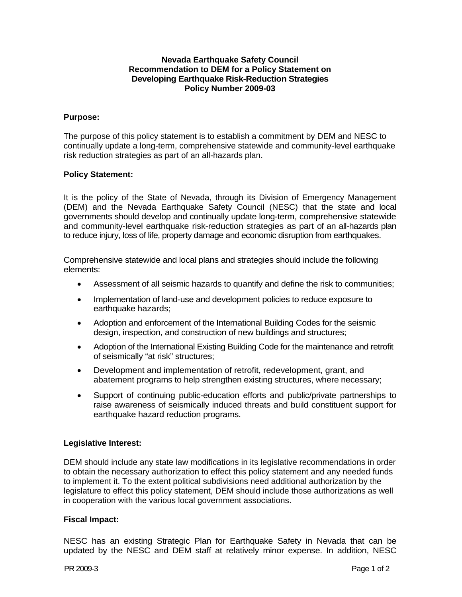## **Nevada Earthquake Safety Council Recommendation to DEM for a Policy Statement on Developing Earthquake Risk-Reduction Strategies Policy Number 2009-03**

# **Purpose:**

The purpose of this policy statement is to establish a commitment by DEM and NESC to continually update a long-term, comprehensive statewide and community-level earthquake risk reduction strategies as part of an all-hazards plan.

## **Policy Statement:**

It is the policy of the State of Nevada, through its Division of Emergency Management (DEM) and the Nevada Earthquake Safety Council (NESC) that the state and local governments should develop and continually update long-term, comprehensive statewide and community-level earthquake risk-reduction strategies as part of an all-hazards plan to reduce injury, loss of life, property damage and economic disruption from earthquakes.

Comprehensive statewide and local plans and strategies should include the following elements:

- Assessment of all seismic hazards to quantify and define the risk to communities;
- Implementation of land-use and development policies to reduce exposure to earthquake hazards;
- Adoption and enforcement of the International Building Codes for the seismic design, inspection, and construction of new buildings and structures;
- Adoption of the International Existing Building Code for the maintenance and retrofit of seismically "at risk" structures;
- Development and implementation of retrofit, redevelopment, grant, and abatement programs to help strengthen existing structures, where necessary;
- Support of continuing public-education efforts and public/private partnerships to raise awareness of seismically induced threats and build constituent support for earthquake hazard reduction programs.

### **Legislative Interest:**

DEM should include any state law modifications in its legislative recommendations in order to obtain the necessary authorization to effect this policy statement and any needed funds to implement it. To the extent political subdivisions need additional authorization by the legislature to effect this policy statement, DEM should include those authorizations as well in cooperation with the various local government associations.

### **Fiscal Impact:**

NESC has an existing Strategic Plan for Earthquake Safety in Nevada that can be updated by the NESC and DEM staff at relatively minor expense. In addition, NESC